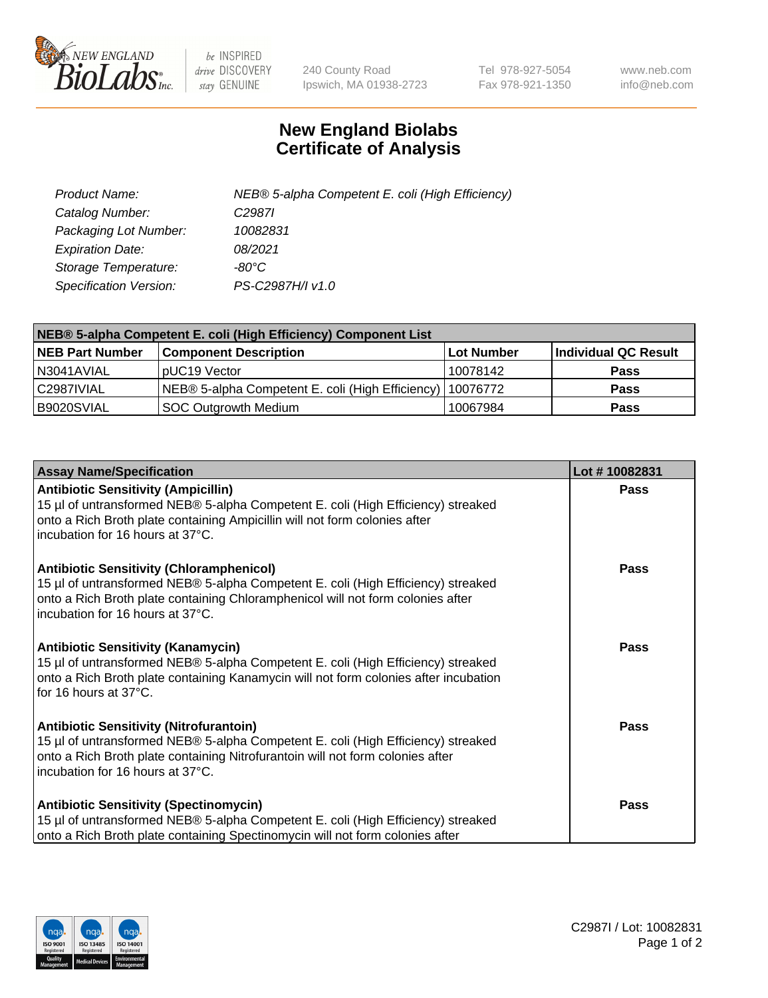

 $be$  INSPIRED drive DISCOVERY stay GENUINE

240 County Road Ipswich, MA 01938-2723 Tel 978-927-5054 Fax 978-921-1350 www.neb.com info@neb.com

## **New England Biolabs Certificate of Analysis**

| Product Name:           | NEB® 5-alpha Competent E. coli (High Efficiency) |
|-------------------------|--------------------------------------------------|
| Catalog Number:         | C <sub>2987</sub>                                |
| Packaging Lot Number:   | 10082831                                         |
| <b>Expiration Date:</b> | 08/2021                                          |
| Storage Temperature:    | -80°C                                            |
| Specification Version:  | PS-C2987H/I v1.0                                 |

| NEB® 5-alpha Competent E. coli (High Efficiency) Component List |                                                           |            |                      |  |
|-----------------------------------------------------------------|-----------------------------------------------------------|------------|----------------------|--|
| <b>NEB Part Number</b>                                          | <b>Component Description</b>                              | Lot Number | Individual QC Result |  |
| N3041AVIAL                                                      | pUC19 Vector                                              | 10078142   | <b>Pass</b>          |  |
| C2987IVIAL                                                      | NEB® 5-alpha Competent E. coli (High Efficiency) 10076772 |            | <b>Pass</b>          |  |
| B9020SVIAL                                                      | <b>SOC Outgrowth Medium</b>                               | 10067984   | <b>Pass</b>          |  |

| <b>Assay Name/Specification</b>                                                                                                                                                                                                                            | Lot #10082831 |
|------------------------------------------------------------------------------------------------------------------------------------------------------------------------------------------------------------------------------------------------------------|---------------|
| <b>Antibiotic Sensitivity (Ampicillin)</b><br>15 µl of untransformed NEB® 5-alpha Competent E. coli (High Efficiency) streaked<br>onto a Rich Broth plate containing Ampicillin will not form colonies after<br>incubation for 16 hours at 37°C.           | <b>Pass</b>   |
| <b>Antibiotic Sensitivity (Chloramphenicol)</b><br>15 µl of untransformed NEB® 5-alpha Competent E. coli (High Efficiency) streaked<br>onto a Rich Broth plate containing Chloramphenicol will not form colonies after<br>incubation for 16 hours at 37°C. | Pass          |
| <b>Antibiotic Sensitivity (Kanamycin)</b><br>15 µl of untransformed NEB® 5-alpha Competent E. coli (High Efficiency) streaked<br>onto a Rich Broth plate containing Kanamycin will not form colonies after incubation<br>for 16 hours at $37^{\circ}$ C.   | <b>Pass</b>   |
| <b>Antibiotic Sensitivity (Nitrofurantoin)</b><br>15 µl of untransformed NEB® 5-alpha Competent E. coli (High Efficiency) streaked<br>onto a Rich Broth plate containing Nitrofurantoin will not form colonies after<br>incubation for 16 hours at 37°C.   | Pass          |
| <b>Antibiotic Sensitivity (Spectinomycin)</b><br>15 µl of untransformed NEB® 5-alpha Competent E. coli (High Efficiency) streaked<br>onto a Rich Broth plate containing Spectinomycin will not form colonies after                                         | Pass          |